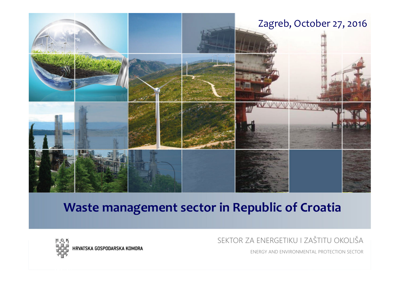

### **Waste management sector in Republic of Croatia**



SEKTOR ZA ENERGETIKU I ZAŠTITU OKOLIŠA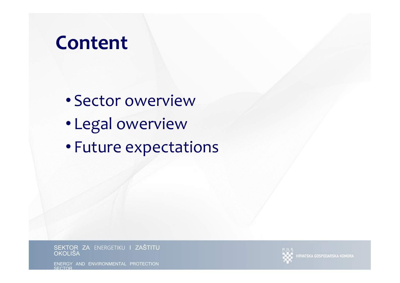# **Content**

- Sector owerview
- Legal owerview
- Future expectations

S<mark>EKTOR ZA</mark> ENERGETIKU **I ZAŠTITU**<br>OKOLIŠA



**IRVATSKA GOSPODARSKA KOMORA**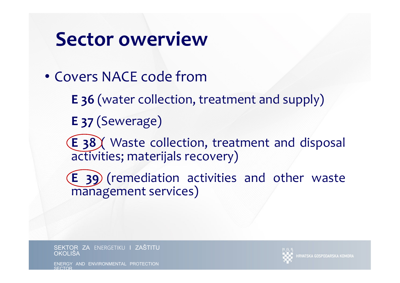# **Sector owerview**

- Covers NACE code from
	- **<sup>E</sup> 36** (water collection, treatment and supply)
	- **<sup>E</sup> <sup>37</sup>** (Sewerage)
	- **<sup>E</sup> 38** ( Waste collection, treatment and disposal activities; materijals recovery)
	- **<sup>E</sup> <sup>39</sup>** (remediation activities and other waste management services)

SEKTOR ZA ENERGETIKU I ZAŠTITU<br>OKOLIŠA OKOLIŠA



**NATSKA GOSPODARSKA KOMORI** 

AND ENVIRONMENTAL PROTECTION SECTOR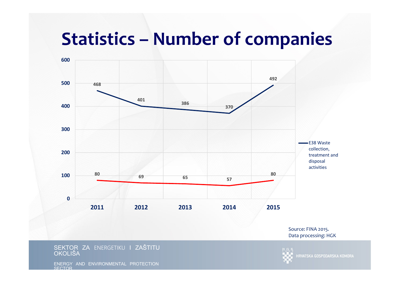# **Statistics – Number of companies**



Source: FINA 2015. Data processing: HGK

#### SEKTOR ZA ENERGETIKU I ZAŠTITU<br>OKOLIŠA **OKOLIŠA**

HRVATSKA GOSPODARSKA KOMORA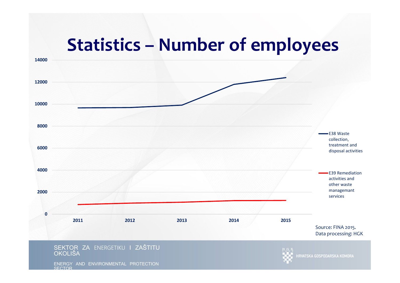# **Statistics – Number of employees**

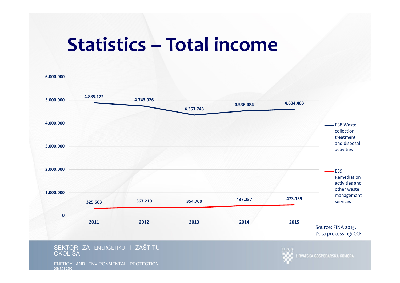# **Statistics – Total income**

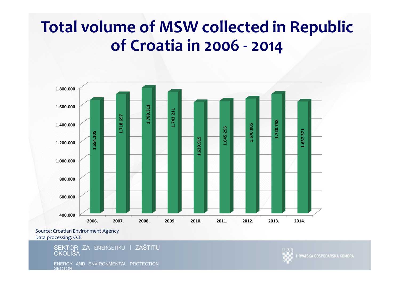## **Total volume of MSW collected in Republic of Croatia in 2006 - <sup>2014</sup>**



Source: Croatian Environment AgencyData processing: CCE

> SEKTOR ZA ENERGETIKU I ZAŠTITU<br>OKOLIŠA OKOLIŠA

ENERGY AND ENVIRONMENTAL PROTECTION **SECTOR** 



**IRVATSKA GOSPODARSKA KOMORA**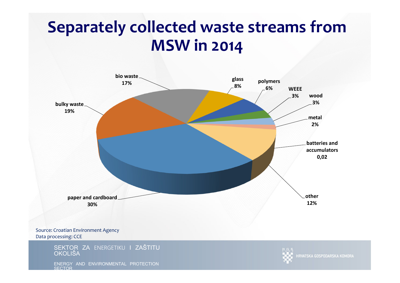## **Separately collected waste streams from MSW in 2014**



ENERGY AND ENVIRONMENTAL PROTECTION **SECTOR** 

HRVATSKA GOSPODARSKA KOMORA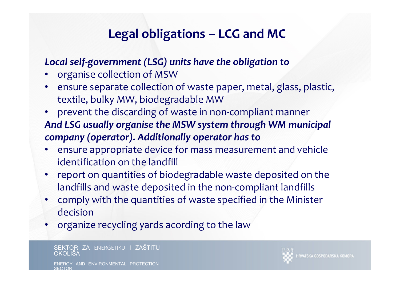## **Legal obligations – LCG and MC**

#### *Local self-government (LSG) units have the obligation to*

- •organise collection of MSW
- •• ensure separate collection of waste paper, metal, glass, plastic, textile, bulky MW, biodegradable MW
- • prevent the discarding of waste in non-compliant manner*And LSG usually organise the MSW system through WM municipal company (operator). Additionally operator has to*
- • ensure appropriate device for mass measurement and vehicle identification on the landfill
- • report on quantities of biodegradable waste deposited on the landfills and waste deposited in the non-compliant landfills
- comply with the quantities of waste specified in the Minister •decision
- organize recycling yards acording to the law•

SEKTOR ZA ENERGETIKU I ZAŠTITU<br>OKOLIŠA OKOLIŠA

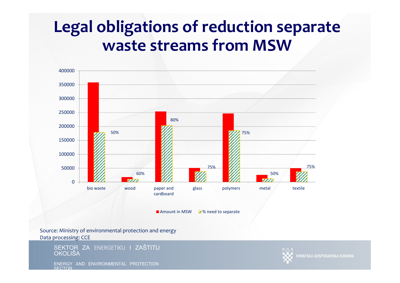## **Legal obligations of reduction separate waste streams from MSW**



Source: Ministry of environmental protection and energyData processing: CCE

> SEKTOR ZA ENERGETIKU I ZAŠTITU<br>OKOLIŠA OKOLIŠA

ENERGY AND ENVIRONMENTAL PROTECTION **SECTOR** 



**IRVATSKA GOSPODARSKA KOMORA**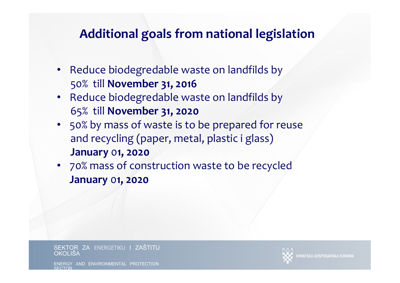### **Additional goals from national legislation**

- Reduce biodegredable waste on landfilds by 50% till **November 31, 2016**
- Reduce biodegredable waste on landfilds by 65% till **November 31, 2020**
- 50% by mass of waste is to be prepared for reuse and recycling (paper, metal, plastic i glass)**January** <sup>0</sup>**1, 2020**
- 70% mass of construction waste to be recycled**January** <sup>0</sup>**1, 2020**

SEKTOR ZA ENERGETIKU I ZAŠTITU<br>OKOLIŠA OKOLIŠA



AND ENVIRONMENTAL PROTECTION SECTOR